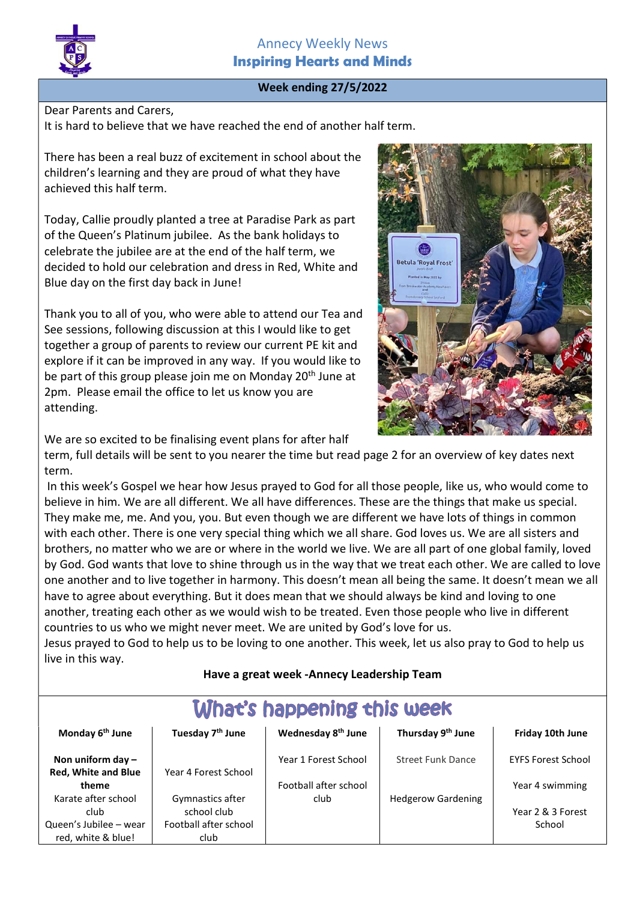

## Week ending 27/5/2022

Dear Parents and Carers,

It is hard to believe that we have reached the end of another half term.

There has been a real buzz of excitement in school about the children's learning and they are proud of what they have achieved this half term.

Today, Callie proudly planted a tree at Paradise Park as part of the Queen's Platinum jubilee. As the bank holidays to celebrate the jubilee are at the end of the half term, we decided to hold our celebration and dress in Red, White and Blue day on the first day back in June!

Thank you to all of you, who were able to attend our Tea and See sessions, following discussion at this I would like to get together a group of parents to review our current PE kit and explore if it can be improved in any way. If you would like to be part of this group please join me on Monday 20<sup>th</sup> June at 2pm. Please email the office to let us know you are attending.



We are so excited to be finalising event plans for after half

term, full details will be sent to you nearer the time but read page 2 for an overview of key dates next term.

 In this week's Gospel we hear how Jesus prayed to God for all those people, like us, who would come to believe in him. We are all different. We all have differences. These are the things that make us special. They make me, me. And you, you. But even though we are different we have lots of things in common with each other. There is one very special thing which we all share. God loves us. We are all sisters and brothers, no matter who we are or where in the world we live. We are all part of one global family, loved by God. God wants that love to shine through us in the way that we treat each other. We are called to love one another and to live together in harmony. This doesn't mean all being the same. It doesn't mean we all have to agree about everything. But it does mean that we should always be kind and loving to one another, treating each other as we would wish to be treated. Even those people who live in different countries to us who we might never meet. We are united by God's love for us.

Jesus prayed to God to help us to be loving to one another. This week, let us also pray to God to help us live in this way.

## Have a great week -Annecy Leadership Team

What's happening this week

| Monday 6 <sup>th</sup> June | Tuesday 7 <sup>th</sup> June | Wednesday 8 <sup>th</sup> |
|-----------------------------|------------------------------|---------------------------|
| Non uniform day $-$         |                              | Year 1 Forest Sc          |

Year 4 Forest School

Gymnastics after school club Football after school club

Red, White and Blue theme Karate after school club Queen's Jubilee – wear red, white & blue!

**June** hool:

Football after school club

Thursday 9<sup>th</sup> June

Hedgerow Gardening

Street Funk Dance

Friday 10th June

EYFS Forest School

Year 4 swimming

Year 2 & 3 Forest School